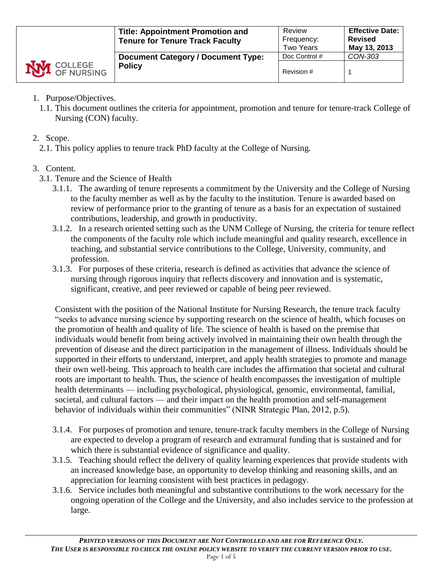|                    | <b>Title: Appointment Promotion and</b><br><b>Tenure for Tenure Track Faculty</b> | Review<br>Frequency:<br><b>Two Years</b> | <b>Effective Date: I</b><br><b>Revised</b><br>May 13, 2013 |
|--------------------|-----------------------------------------------------------------------------------|------------------------------------------|------------------------------------------------------------|
|                    | <b>Document Category / Document Type:</b>                                         | Doc Control #                            | CON-303                                                    |
| <b>NVI</b> COLLEGE | <b>Policy</b>                                                                     | Revision #                               |                                                            |

- 1. Purpose/Objectives.
	- 1.1. This document outlines the criteria for appointment, promotion and tenure for tenure-track College of Nursing (CON) faculty.
- 2. Scope.
	- 2.1. This policy applies to tenure track PhD faculty at the College of Nursing.

# 3. Content.

- 3.1. Tenure and the Science of Health
	- 3.1.1. The awarding of tenure represents a commitment by the University and the College of Nursing to the faculty member as well as by the faculty to the institution. Tenure is awarded based on review of performance prior to the granting of tenure as a basis for an expectation of sustained contributions, leadership, and growth in productivity.
	- 3.1.2. In a research oriented setting such as the UNM College of Nursing, the criteria for tenure reflect the components of the faculty role which include meaningful and quality research, excellence in teaching, and substantial service contributions to the College, University, community, and profession.
	- 3.1.3. For purposes of these criteria, research is defined as activities that advance the science of nursing through rigorous inquiry that reflects discovery and innovation and is systematic, significant, creative, and peer reviewed or capable of being peer reviewed.

Consistent with the position of the National Institute for Nursing Research, the tenure track faculty "seeks to advance nursing science by supporting research on the science of health, which focuses on the promotion of health and quality of life. The science of health is based on the premise that individuals would benefit from being actively involved in maintaining their own health through the prevention of disease and the direct participation in the management of illness. Individuals should be supported in their efforts to understand, interpret, and apply health strategies to promote and manage their own well-being. This approach to health care includes the affirmation that societal and cultural roots are important to health. Thus, the science of health encompasses the investigation of multiple health determinants — including psychological, physiological, genomic, environmental, familial, societal, and cultural factors — and their impact on the health promotion and self-management behavior of individuals within their communities" (NINR Strategic Plan, 2012, p.5).

- 3.1.4. For purposes of promotion and tenure, tenure-track faculty members in the College of Nursing are expected to develop a program of research and extramural funding that is sustained and for which there is substantial evidence of significance and quality.
- 3.1.5. Teaching should reflect the delivery of quality learning experiences that provide students with an increased knowledge base, an opportunity to develop thinking and reasoning skills, and an appreciation for learning consistent with best practices in pedagogy.
- 3.1.6. Service includes both meaningful and substantive contributions to the work necessary for the ongoing operation of the College and the University, and also includes service to the profession at large.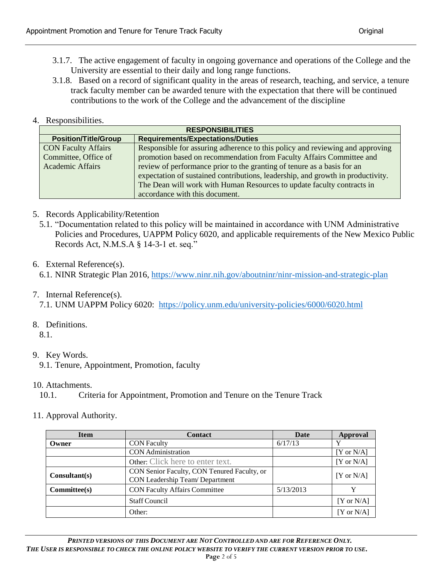- 3.1.7. The active engagement of faculty in ongoing governance and operations of the College and the University are essential to their daily and long range functions.
- 3.1.8. Based on a record of significant quality in the areas of research, teaching, and service, a tenure track faculty member can be awarded tenure with the expectation that there will be continued contributions to the work of the College and the advancement of the discipline

## 4. Responsibilities.

| <b>RESPONSIBILITIES</b>     |                                                                                 |  |
|-----------------------------|---------------------------------------------------------------------------------|--|
| <b>Position/Title/Group</b> | <b>Requirements/Expectations/Duties</b>                                         |  |
| <b>CON Faculty Affairs</b>  | Responsible for assuring adherence to this policy and reviewing and approving   |  |
| Committee, Office of        | promotion based on recommendation from Faculty Affairs Committee and            |  |
| <b>Academic Affairs</b>     | review of performance prior to the granting of tenure as a basis for an         |  |
|                             | expectation of sustained contributions, leadership, and growth in productivity. |  |
|                             | The Dean will work with Human Resources to update faculty contracts in          |  |
|                             | accordance with this document.                                                  |  |

## 5. Records Applicability/Retention

5.1. "Documentation related to this policy will be maintained in accordance with UNM Administrative Policies and Procedures, UAPPM Policy 6020, and applicable requirements of the New Mexico Public Records Act, N.M.S.A § 14-3-1 et. seq."

## 6. External Reference(s).

6.1. NINR Strategic Plan 2016,<https://www.ninr.nih.gov/aboutninr/ninr-mission-and-strategic-plan>

## 7. Internal Reference(s).

7.1. UNM UAPPM Policy 6020: <https://policy.unm.edu/university-policies/6000/6020.html>

8. Definitions.

8.1.

9. Key Words.

10. Attachments.

10.1. Criteria for Appointment, Promotion and Tenure on the Tenure Track

11. Approval Authority.

| <b>Item</b>   | <b>Contact</b><br>Date                                                        |           | <b>Approval</b>       |  |
|---------------|-------------------------------------------------------------------------------|-----------|-----------------------|--|
| Owner         | <b>CON Faculty</b>                                                            | 6/17/13   | v                     |  |
|               | <b>CON</b> Administration                                                     |           | $[Y \text{ or } N/A]$ |  |
|               | Other: Click here to enter text.                                              |           | $[Y \text{ or } N/A]$ |  |
| Consultant(s) | CON Senior Faculty, CON Tenured Faculty, or<br>CON Leadership Team/Department |           | $[Y \text{ or } N/A]$ |  |
| Commitee(s)   | <b>CON Faculty Affairs Committee</b>                                          | 5/13/2013 |                       |  |
|               | <b>Staff Council</b>                                                          |           | $[Y \text{ or } N/A]$ |  |
|               | Other:                                                                        |           | $[Y \text{ or } N/A]$ |  |

<sup>9.1.</sup> Tenure, Appointment, Promotion, faculty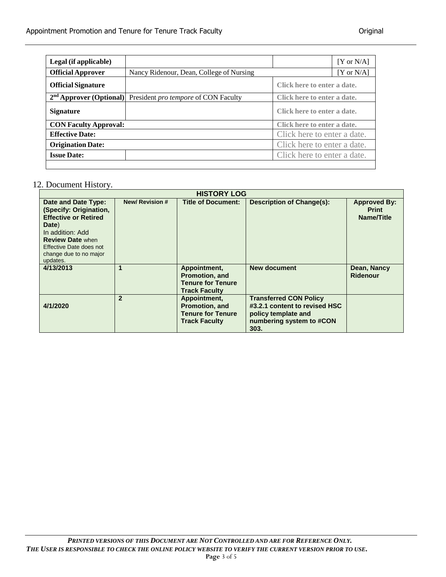| Legal (if applicable)        |                                             |                             | $[Y \text{ or } N/A]$ |
|------------------------------|---------------------------------------------|-----------------------------|-----------------------|
| <b>Official Approver</b>     | Nancy Ridenour, Dean, College of Nursing    |                             | $[Y$ or $N/A$ ]       |
| <b>Official Signature</b>    |                                             | Click here to enter a date. |                       |
| $2nd$ Approver (Optional)    | President <i>pro tempore</i> of CON Faculty | Click here to enter a date. |                       |
| <b>Signature</b>             |                                             | Click here to enter a date. |                       |
| <b>CON Faculty Approval:</b> |                                             | Click here to enter a date. |                       |
| <b>Effective Date:</b>       |                                             | Click here to enter a date. |                       |
| <b>Origination Date:</b>     | Click here to enter a date.                 |                             |                       |
| <b>Issue Date:</b>           |                                             | Click here to enter a date. |                       |
|                              |                                             |                             |                       |

### 12. Document History.

| <b>HISTORY LOG</b>                                                                                                                                                                                    |                      |                                                                                    |                                                                                                                           |                                                   |
|-------------------------------------------------------------------------------------------------------------------------------------------------------------------------------------------------------|----------------------|------------------------------------------------------------------------------------|---------------------------------------------------------------------------------------------------------------------------|---------------------------------------------------|
| Date and Date Type:<br>(Specify: Origination,<br><b>Effective or Retired</b><br>Date)<br>In addition: Add<br><b>Review Date when</b><br>Effective Date does not<br>change due to no major<br>updates. | <b>New/Revision#</b> | <b>Title of Document:</b>                                                          | <b>Description of Change(s):</b>                                                                                          | <b>Approved By:</b><br><b>Print</b><br>Name/Title |
| 4/13/2013                                                                                                                                                                                             | 1                    | Appointment,<br>Promotion, and<br><b>Tenure for Tenure</b><br><b>Track Faculty</b> | New document                                                                                                              | Dean, Nancy<br>Ridenour                           |
| 4/1/2020                                                                                                                                                                                              | $\overline{2}$       | Appointment,<br>Promotion, and<br><b>Tenure for Tenure</b><br><b>Track Faculty</b> | <b>Transferred CON Policy</b><br>#3.2.1 content to revised HSC<br>policy template and<br>numbering system to #CON<br>303. |                                                   |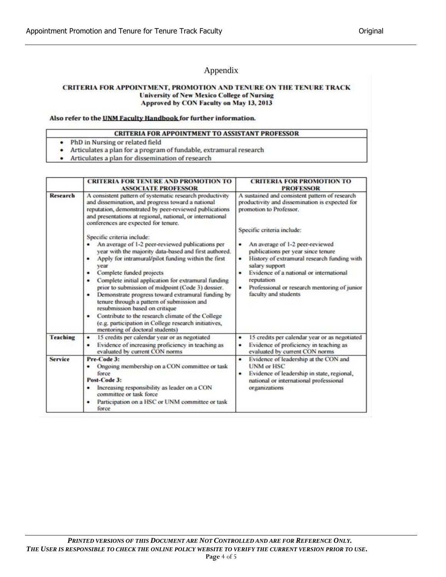### Appendix

#### CRITERIA FOR APPOINTMENT, PROMOTION AND TENURE ON THE TENURE TRACK **University of New Mexico College of Nursing** Approved by CON Faculty on May 13, 2013

#### Also refer to the UNM Faculty Handbook for further information.

#### **CRITERIA FOR APPOINTMENT TO ASSISTANT PROFESSOR**

- PhD in Nursing or related field ٠
- Articulates a plan for a program of fundable, extramural research
- Articulates a plan for dissemination of research .

|          | <b>CRITERIA FOR TENURE AND PROMOTION TO</b><br><b>ASSOCIATE PROFESSOR</b>                                                                                                                                                                                                                                                                                                                                                                                                                                                                                                                                                      | <b>CRITERIA FOR PROMOTION TO</b><br><b>PROFESSOR</b>                                                                                                                                                                                                                         |
|----------|--------------------------------------------------------------------------------------------------------------------------------------------------------------------------------------------------------------------------------------------------------------------------------------------------------------------------------------------------------------------------------------------------------------------------------------------------------------------------------------------------------------------------------------------------------------------------------------------------------------------------------|------------------------------------------------------------------------------------------------------------------------------------------------------------------------------------------------------------------------------------------------------------------------------|
| Research | A consistent pattern of systematic research productivity<br>and dissemination, and progress toward a national<br>reputation, demonstrated by peer-reviewed publications<br>and presentations at regional, national, or international<br>conferences are expected for tenure.                                                                                                                                                                                                                                                                                                                                                   | A sustained and consistent pattern of research<br>productivity and dissemination is expected for<br>promotion to Professor.                                                                                                                                                  |
|          |                                                                                                                                                                                                                                                                                                                                                                                                                                                                                                                                                                                                                                | Specific criteria include:                                                                                                                                                                                                                                                   |
|          | Specific criteria include:                                                                                                                                                                                                                                                                                                                                                                                                                                                                                                                                                                                                     |                                                                                                                                                                                                                                                                              |
|          | An average of 1-2 peer-reviewed publications per<br>year with the majority data-based and first authored.<br>Apply for intramural/pilot funding within the first<br>۰<br>vear<br>Complete funded projects<br>٠<br>Complete initial application for extramural funding<br>٠<br>prior to submission of midpoint (Code 3) dossier.<br>Demonstrate progress toward extramural funding by<br>٠<br>tenure through a pattern of submission and<br>resubmission based on critique<br>Contribute to the research climate of the College<br>٠<br>(e.g. participation in College research initiatives,<br>mentoring of doctoral students) | An average of 1-2 peer-reviewed<br>publications per year since tenure<br>History of extramural research funding with<br>٠<br>salary support<br>Evidence of a national or international<br>reputation<br>Professional or research mentoring of junior<br>faculty and students |
| Teaching | 15 credits per calendar year or as negotiated<br>٠<br>Evidence of increasing proficiency in teaching as<br>٠<br>evaluated by current CON norms                                                                                                                                                                                                                                                                                                                                                                                                                                                                                 | 15 credits per calendar year or as negotiated<br>٠<br>Evidence of proficiency in teaching as<br>evaluated by current CON norms                                                                                                                                               |
| Service  | Pre-Code 3:<br>Ongoing membership on a CON committee or task<br>force<br>Post-Code 3:<br>Increasing responsibility as leader on a CON<br>committee or task force<br>Participation on a HSC or UNM committee or task<br>force                                                                                                                                                                                                                                                                                                                                                                                                   | Evidence of leadership at the CON and<br>٠<br><b>UNM or HSC</b><br>Evidence of leadership in state, regional,<br>national or international professional<br>organizations                                                                                                     |